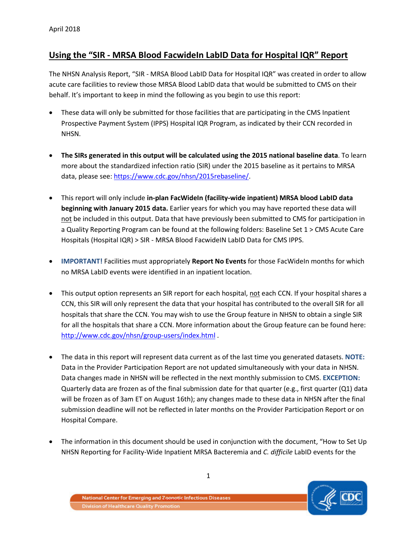# **Using the "SIR - MRSA Blood FacwideIn LabID Data for Hospital IQR" Report**

The NHSN Analysis Report, "SIR - MRSA Blood LabID Data for Hospital IQR" was created in order to allow acute care facilities to review those MRSA Blood LabID data that would be submitted to CMS on their behalf. It's important to keep in mind the following as you begin to use this report:

- These data will only be submitted for those facilities that are participating in the CMS Inpatient Prospective Payment System (IPPS) Hospital IQR Program, as indicated by their CCN recorded in NHSN.
- **The SIRs generated in this output will be calculated using the 2015 national baseline data**. To learn more about the standardized infection ratio (SIR) under the 2015 baseline as it pertains to MRSA data, please see: [https://www.cdc.gov/nhsn/2015rebaseline/.](https://www.cdc.gov/nhsn/2015rebaseline/)
- This report will only include **in-plan FacWideIn (facility-wide inpatient) MRSA blood LabID data beginning with January 2015 data.** Earlier years for which you may have reported these data will not be included in this output. Data that have previously been submitted to CMS for participation in a Quality Reporting Program can be found at the following folders: Baseline Set 1 > CMS Acute Care Hospitals (Hospital IQR) > SIR - MRSA Blood FacwideIN LabID Data for CMS IPPS.
- **IMPORTANT!** Facilities must appropriately **Report No Events** for those FacWideIn months for which no MRSA LabID events were identified in an inpatient location.
- This output option represents an SIR report for each hospital, not each CCN. If your hospital shares a CCN, this SIR will only represent the data that your hospital has contributed to the overall SIR for all hospitals that share the CCN. You may wish to use the Group feature in NHSN to obtain a single SIR for all the hospitals that share a CCN. More information about the Group feature can be found here: <http://www.cdc.gov/nhsn/group-users/index.html>.
- The data in this report will represent data current as of the last time you generated datasets. **NOTE:** Data in the Provider Participation Report are not updated simultaneously with your data in NHSN. Data changes made in NHSN will be reflected in the next monthly submission to CMS. **EXCEPTION:** Quarterly data are frozen as of the final submission date for that quarter (e.g., first quarter (Q1) data will be frozen as of 3am ET on August 16th); any changes made to these data in NHSN after the final submission deadline will not be reflected in later months on the Provider Participation Report or on Hospital Compare.
- The information in this document should be used in conjunction with the document, "How to Set Up NHSN Reporting for Facility-Wide Inpatient MRSA Bacteremia and *C. difficile* LabID events for the

National Center for Emerging and Zoonotic Infectious Diseases **Division of Healthcare Quality Promotion** 

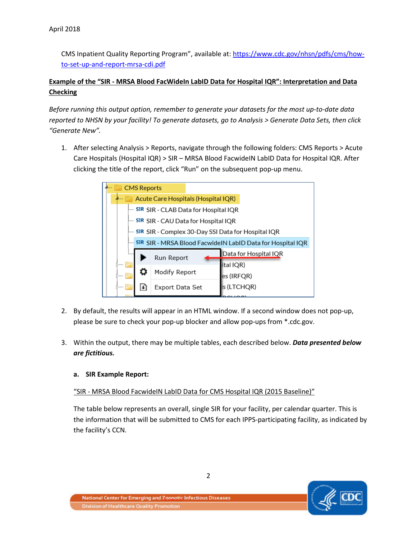CMS Inpatient Quality Reporting Program", available at: [https://www.cdc.gov/nhsn/pdfs/cms/how](https://www.cdc.gov/nhsn/pdfs/cms/how-to-set-up-and-report-mrsa-cdi.pdf)[to-set-up-and-report-mrsa-cdi.pdf](https://www.cdc.gov/nhsn/pdfs/cms/how-to-set-up-and-report-mrsa-cdi.pdf) 

# **Example of the "SIR - MRSA Blood FacWideIn LabID Data for Hospital IQR": Interpretation and Data Checking**

*Before running this output option, remember to generate your datasets for the most up-to-date data reported to NHSN by your facility! To generate datasets, go to Analysis > Generate Data Sets, then click "Generate New".*

1. After selecting Analysis > Reports, navigate through the following folders: CMS Reports > Acute Care Hospitals (Hospital IQR) > SIR – MRSA Blood FacwideIN LabID Data for Hospital IQR. After clicking the title of the report, click "Run" on the subsequent pop-up menu.

| <b>CMS Reports</b>                  |                                                                   |  |                       |  |  |  |  |  |
|-------------------------------------|-------------------------------------------------------------------|--|-----------------------|--|--|--|--|--|
| Acute Care Hospitals (Hospital IQR) |                                                                   |  |                       |  |  |  |  |  |
| $1 - 1 - 1$                         | <b>SIR</b> SIR - CLAB Data for Hospital IQR                       |  |                       |  |  |  |  |  |
| i                                   | <b>SIR SIR - CAU Data for Hospital IQR</b>                        |  |                       |  |  |  |  |  |
| i                                   | 5IR SIR - Complex 30-Day SSI Data for Hospital IQR                |  |                       |  |  |  |  |  |
| $1 - 1 - 1$                         | <b>SIR SIR - MRSA Blood FacwidelN LabID Data for Hospital IQR</b> |  |                       |  |  |  |  |  |
| Tomas.                              | Run Report                                                        |  | Data for Hospital IQR |  |  |  |  |  |
| <b>DESIGNER</b>                     |                                                                   |  | ital IQR)             |  |  |  |  |  |
| <b>Domesto</b>                      | Modify Report                                                     |  | es (IRFQR)            |  |  |  |  |  |
| <b>Donato</b>                       | Export Data Set                                                   |  | s (LTCHQR)            |  |  |  |  |  |
|                                     |                                                                   |  |                       |  |  |  |  |  |

- 2. By default, the results will appear in an HTML window. If a second window does not pop-up, please be sure to check your pop-up blocker and allow pop-ups from \*.cdc.gov.
- 3. Within the output, there may be multiple tables, each described below. *Data presented below are fictitious.*

## **a. SIR Example Report:**

## "SIR - MRSA Blood FacwideIN LabID Data for CMS Hospital IQR (2015 Baseline)"

The table below represents an overall, single SIR for your facility, per calendar quarter. This is the information that will be submitted to CMS for each IPPS-participating facility, as indicated by the facility's CCN.

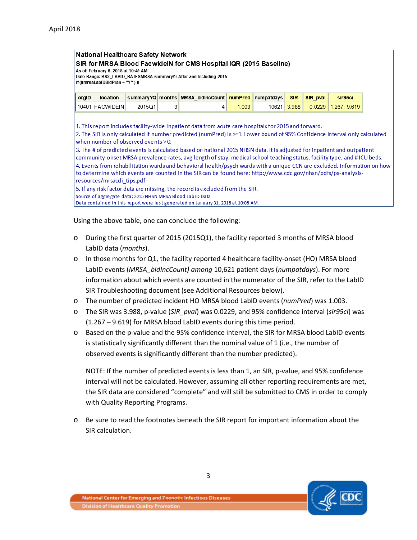#### **National Healthcare Safety Network**

SIR for MRSA Blood FacwidelN for CMS Hospital IQR (2015 Baseline)

As of: February 6, 2018 at 10:49 AM

Date Range: BS2\_LABID\_RATE SMRSA summaryYr After and Including 2015 if(((mrsaLabIDBIdPlan = "Y")))

| $\parallel$ orgiD |                           |  | location summary YQ months MRSA bidincCount numPred numpatdays SIR SIR pval sir95ci |       |  |                                 |
|-------------------|---------------------------|--|-------------------------------------------------------------------------------------|-------|--|---------------------------------|
|                   | 10401 FACWIDEIN    2015Q1 |  |                                                                                     | 1.003 |  | 10621 3.988 0.0229 1.267, 9.619 |

1. This report includes facility-wide inpatient data from acute care hospitals for 2015 and forward.

2. The SIR is only calculated if number predicted (numPred) is >=1. Lower bound of 95% Confidence Interval only calculated when number of observed events > 0.

3. The # of predicted events is calculated based on national 2015 NHSN data. It is adjusted for inpatient and outpatient community-onset MRSA prevalence rates, avg length of stay, medical school teaching status, facility type, and #ICU beds. 4. Events from rehabilitation wards and behavioral health/psych wards with a unique CCN are excluded. Information on how to determine which events are counted in the SIR can be found here: http://www.cdc.gov/nhsn/pdfs/ps-analysisresources/mrsacdi tips.pdf

5. If any risk factor data are missing, the record is excluded from the SIR. Source of aggregate data: 2015 NHSN MRSA Blood LabID Data Data contained in this report were last generated on January 31, 2018 at 10:08 AM.

Using the above table, one can conclude the following:

- o During the first quarter of 2015 (2015Q1), the facility reported 3 months of MRSA blood LabID data (*months*).
- o In those months for Q1, the facility reported 4 healthcare facility-onset (HO) MRSA blood LabID events (*MRSA\_bldIncCount) among* 10,621 patient days (*numpatdays*). For more information about which events are counted in the numerator of the SIR, refer to the LabID SIR Troubleshooting document (see Additional Resources below).
- o The number of predicted incident HO MRSA blood LabID events (*numPred*) was 1.003.
- o The SIR was 3.988, p-value (*SIR\_pval*) was 0.0229, and 95% confidence interval (*sir95ci*) was (1.267 – 9.619) for MRSA blood LabID events during this time period.
- o Based on the p-value and the 95% confidence interval, the SIR for MRSA blood LabID events is statistically significantly different than the nominal value of 1 (i.e., the number of observed events is significantly different than the number predicted).

NOTE: If the number of predicted events is less than 1, an SIR, p-value, and 95% confidence interval will not be calculated. However, assuming all other reporting requirements are met, the SIR data are considered "complete" and will still be submitted to CMS in order to comply with Quality Reporting Programs.

o Be sure to read the footnotes beneath the SIR report for important information about the SIR calculation.

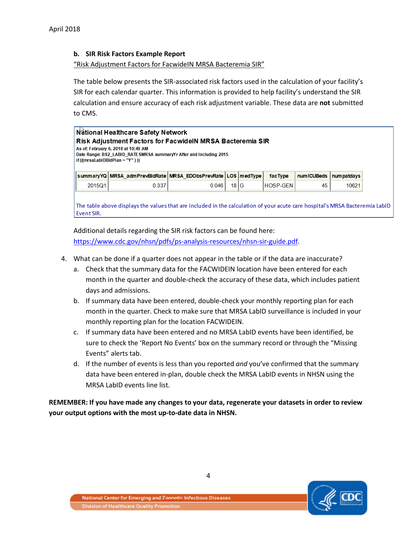### **b. SIR Risk Factors Example Report**

"Risk Adjustment Factors for FacwideIN MRSA Bacteremia SIR"

The table below presents the SIR-associated risk factors used in the calculation of your facility's SIR for each calendar quarter. This information is provided to help facility's understand the SIR calculation and ensure accuracy of each risk adjustment variable. These data are **not** submitted to CMS.

|        | <b>Risk Adjustment Factors for FacwidelN MRSA Bacteremia SIR</b><br>As of: February 6, 2018 at 10:49 AM<br>Date Range: BS2_LABID_RATE SMRSA summaryYr After and Including 2015<br>$if ((mrsalabIDBIdPlan = "Y")))$ |       |        |          |            |             |
|--------|--------------------------------------------------------------------------------------------------------------------------------------------------------------------------------------------------------------------|-------|--------|----------|------------|-------------|
|        | summaryYQ MRSA_admPrevBldRate MRSA_EDObsPrevRate LOS medType                                                                                                                                                       |       |        | facType  | numICUBeds | num patdays |
| 2015Q1 | 0.337                                                                                                                                                                                                              | 0.046 | 18 I G | HOSP-GEN | 45         | 10621       |

Additional details regarding the SIR risk factors can be found here: [https://www.cdc.gov/nhsn/pdfs/ps-analysis-resources/nhsn-sir-guide.pdf.](https://www.cdc.gov/nhsn/pdfs/ps-analysis-resources/nhsn-sir-guide.pdf)

- 4. What can be done if a quarter does not appear in the table or if the data are inaccurate?
	- a. Check that the summary data for the FACWIDEIN location have been entered for each month in the quarter and double-check the accuracy of these data, which includes patient days and admissions.
	- b. If summary data have been entered, double-check your monthly reporting plan for each month in the quarter. Check to make sure that MRSA LabID surveillance is included in your monthly reporting plan for the location FACWIDEIN.
	- c. If summary data have been entered and no MRSA LabID events have been identified, be sure to check the 'Report No Events' box on the summary record or through the "Missing Events" alerts tab.
	- d. If the number of events is less than you reported *and* you've confirmed that the summary data have been entered in-plan, double check the MRSA LabID events in NHSN using the MRSA LabID events line list.

**REMEMBER: If you have made any changes to your data, regenerate your datasets in order to review your output options with the most up-to-date data in NHSN.**